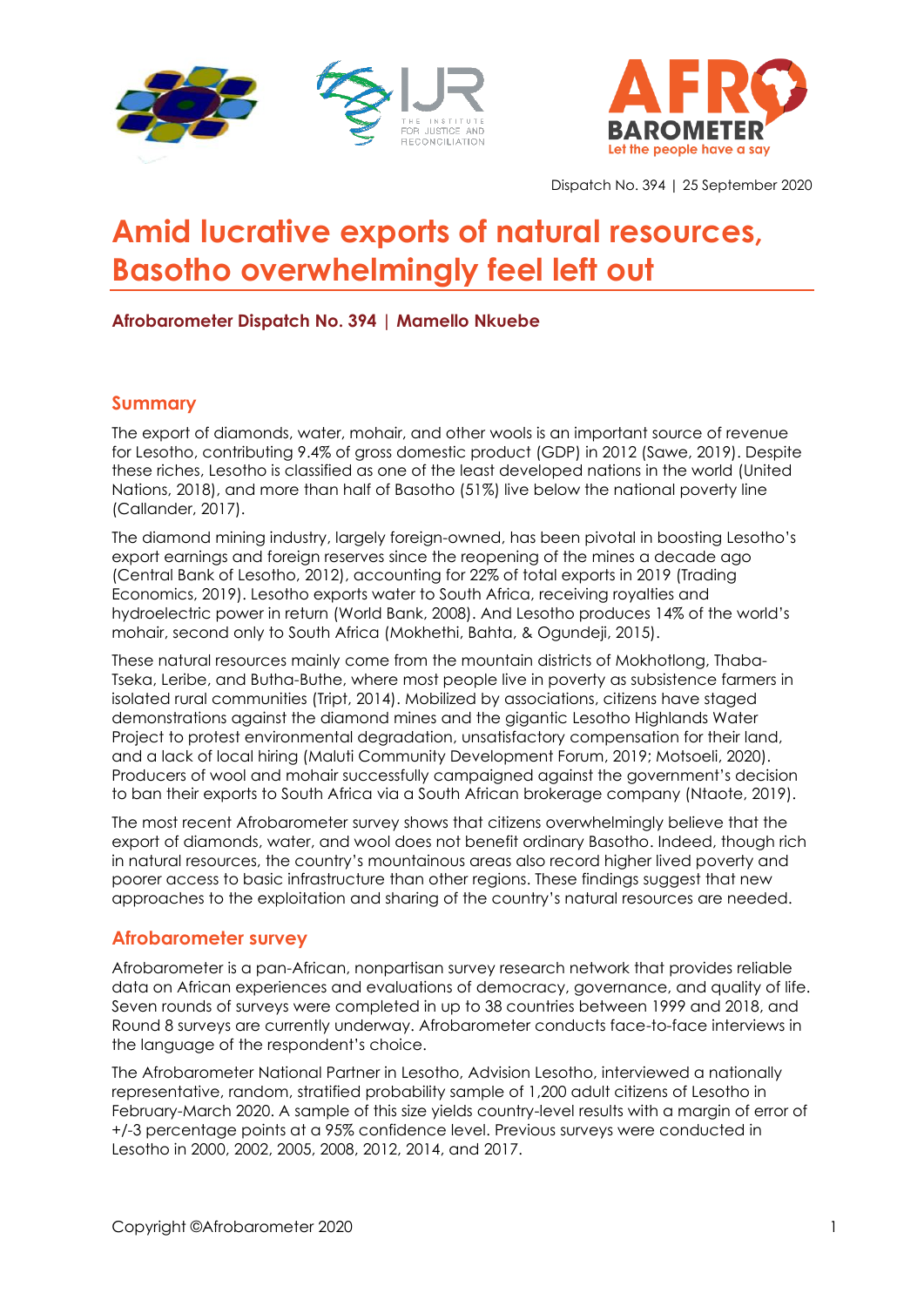



Dispatch No. 394 | 25 September 2020

# **Amid lucrative exports of natural resources, Basotho overwhelmingly feel left out**

## **Afrobarometer Dispatch No. 394 | Mamello Nkuebe**

## **Summary**

The export of diamonds, water, mohair, and other wools is an important source of revenue for Lesotho, contributing 9.4% of gross domestic product (GDP) in 2012 (Sawe, 2019). Despite these riches, Lesotho is classified as one of the least developed nations in the world (United Nations, 2018), and more than half of Basotho (51%) live below the national poverty line (Callander, 2017).

The diamond mining industry, largely foreign-owned, has been pivotal in boosting Lesotho's export earnings and foreign reserves since the reopening of the mines a decade ago (Central Bank of Lesotho, 2012), accounting for 22% of total exports in 2019 (Trading Economics, 2019). Lesotho exports water to South Africa, receiving royalties and hydroelectric power in return (World Bank, 2008). And Lesotho produces 14% of the world's mohair, second only to South Africa (Mokhethi, Bahta, & Ogundeji, 2015).

These natural resources mainly come from the mountain districts of Mokhotlong, Thaba-Tseka, Leribe, and Butha-Buthe, where most people live in poverty as subsistence farmers in isolated rural communities (Tript, 2014). Mobilized by associations, citizens have staged demonstrations against the diamond mines and the gigantic Lesotho Highlands Water Project to protest environmental degradation, unsatisfactory compensation for their land, and a lack of local hiring [\(Maluti](http://www.malutiforum.org.ls/) Community Development Forum, 2019; Motsoeli, 2020). Producers of wool and mohair successfully campaigned against the government's decision to ban their exports to South Africa via a South African brokerage company (Ntaote, 2019).

The most recent Afrobarometer survey shows that citizens overwhelmingly believe that the export of diamonds, water, and wool does not benefit ordinary Basotho. Indeed, though rich in natural resources, the country's mountainous areas also record higher lived poverty and poorer access to basic infrastructure than other regions. These findings suggest that new approaches to the exploitation and sharing of the country's natural resources are needed.

## **Afrobarometer survey**

Afrobarometer is a pan-African, nonpartisan survey research network that provides reliable data on African experiences and evaluations of democracy, governance, and quality of life. Seven rounds of surveys were completed in up to 38 countries between 1999 and 2018, and Round 8 surveys are currently underway. Afrobarometer conducts face-to-face interviews in the language of the respondent's choice.

The Afrobarometer National Partner in Lesotho, Advision Lesotho, interviewed a nationally representative, random, stratified probability sample of 1,200 adult citizens of Lesotho in February-March 2020. A sample of this size yields country-level results with a margin of error of +/-3 percentage points at a 95% confidence level. Previous surveys were conducted in Lesotho in 2000, 2002, 2005, 2008, 2012, 2014, and 2017.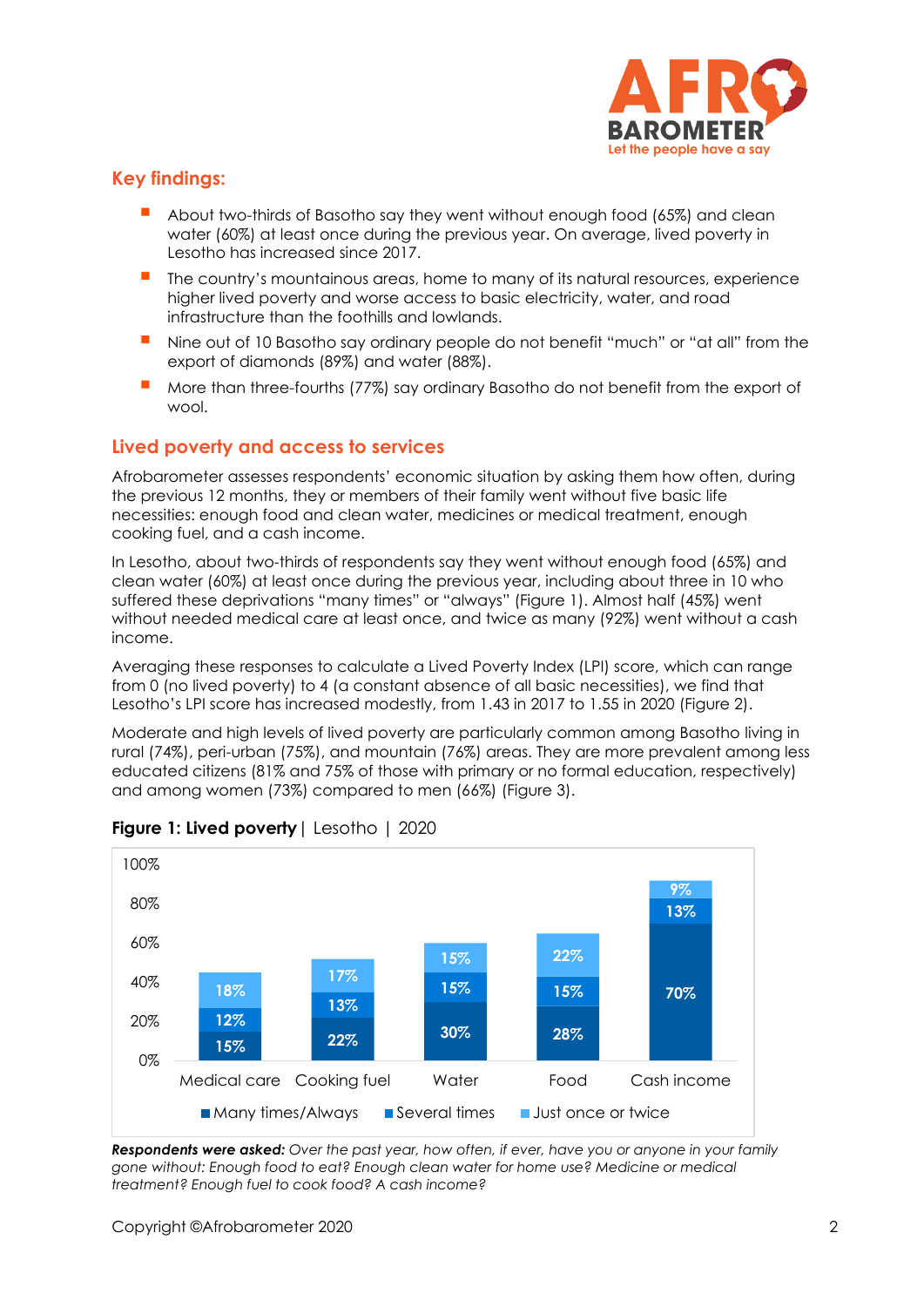

# **Key findings:**

- About two-thirds of Basotho say they went without enough food (65%) and clean water (60%) at least once during the previous year. On average, lived poverty in Lesotho has increased since 2017.
- The country's mountainous areas, home to many of its natural resources, experience higher lived poverty and worse access to basic electricity, water, and road infrastructure than the foothills and lowlands.
- Nine out of 10 Basotho say ordinary people do not benefit "much" or "at all" from the export of diamonds (89%) and water (88%).
- More than three-fourths (77%) say ordinary Basotho do not benefit from the export of wool.

## **Lived poverty and access to services**

Afrobarometer assesses respondents' economic situation by asking them how often, during the previous 12 months, they or members of their family went without five basic life necessities: enough food and clean water, medicines or medical treatment, enough cooking fuel, and a cash income.

In Lesotho, about two-thirds of respondents say they went without enough food (65%) and clean water (60%) at least once during the previous year, including about three in 10 who suffered these deprivations "many times" or "always" (Figure 1). Almost half (45%) went without needed medical care at least once, and twice as many (92%) went without a cash income.

Averaging these responses to calculate a Lived Poverty Index (LPI) score, which can range from 0 (no lived poverty) to 4 (a constant absence of all basic necessities), we find that Lesotho's LPI score has increased modestly, from 1.43 in 2017 to 1.55 in 2020 (Figure 2).

Moderate and high levels of lived poverty are particularly common among Basotho living in rural (74%), peri-urban (75%), and mountain (76%) areas. They are more prevalent among less educated citizens (81% and 75% of those with primary or no formal education, respectively) and among women (73%) compared to men (66%) (Figure 3).



## **Figure 1: Lived poverty**| Lesotho | 2020

*Respondents were asked: Over the past year, how often, if ever, have you or anyone in your family gone without: Enough food to eat? Enough clean water for home use? Medicine or medical treatment? Enough fuel to cook food? A cash income?*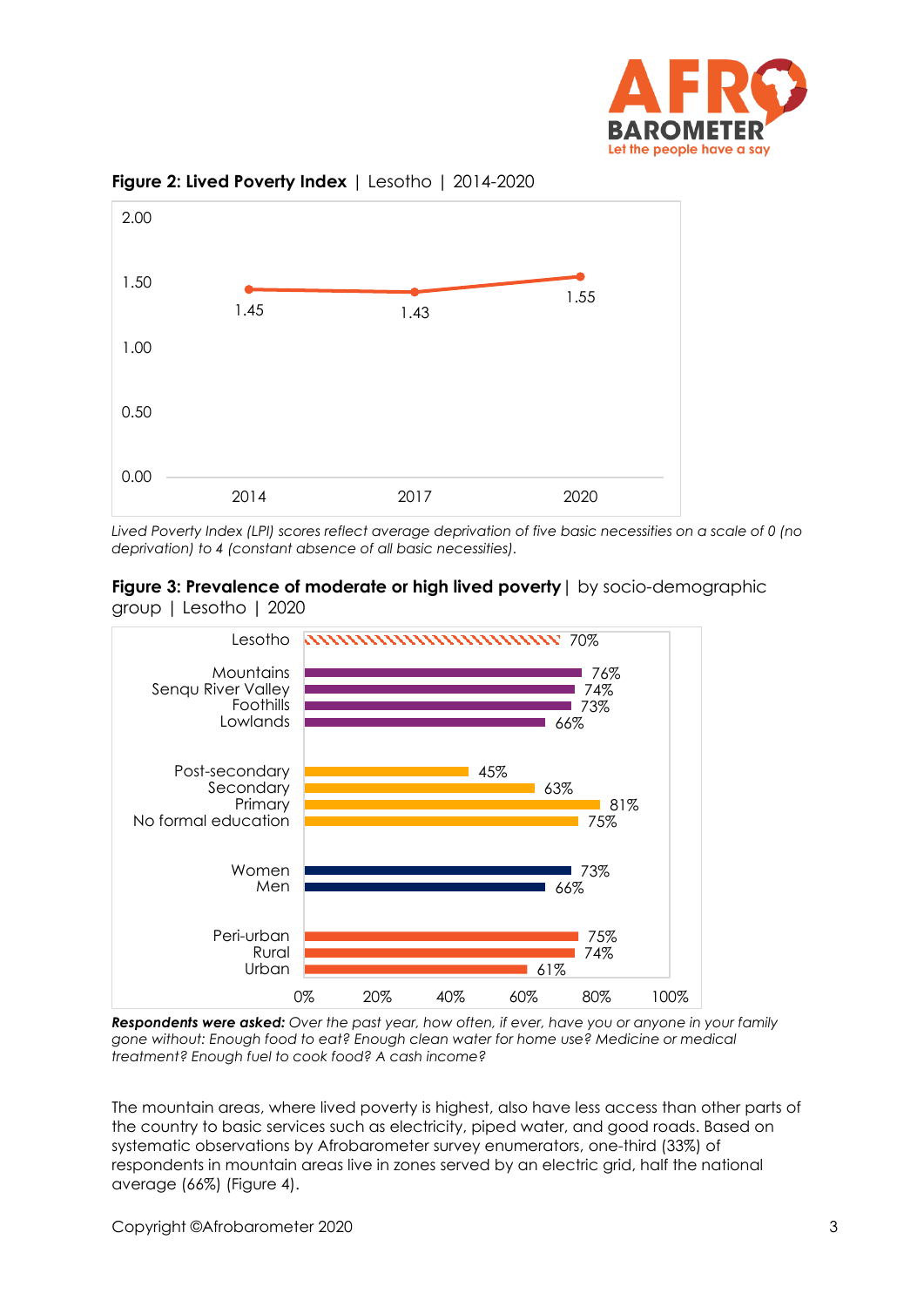



**Figure 2: Lived Poverty Index** | Lesotho | 2014-2020

*Lived Poverty Index (LPI) scores reflect average deprivation of five basic necessities on a scale of 0 (no deprivation) to 4 (constant absence of all basic necessities).*

**Figure 3: Prevalence of moderate or high lived poverty**| by socio-demographic group | Lesotho | 2020



*Respondents were asked: Over the past year, how often, if ever, have you or anyone in your family gone without: Enough food to eat? Enough clean water for home use? Medicine or medical treatment? Enough fuel to cook food? A cash income?* 

The mountain areas, where lived poverty is highest, also have less access than other parts of the country to basic services such as electricity, piped water, and good roads. Based on systematic observations by Afrobarometer survey enumerators, one-third (33%) of respondents in mountain areas live in zones served by an electric grid, half the national average (66%) (Figure 4).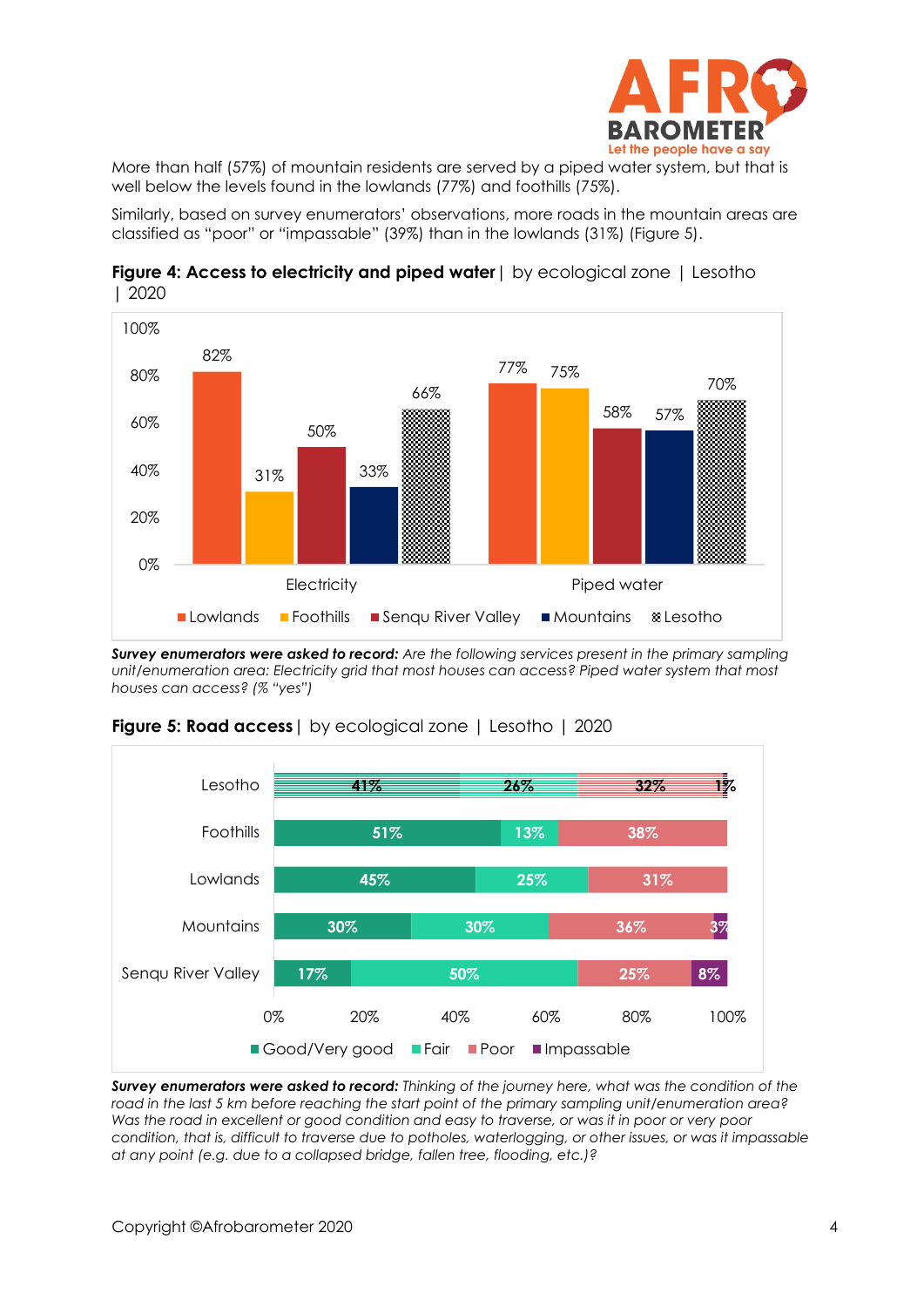

More than half (57%) of mountain residents are served by a piped water system, but that is well below the levels found in the lowlands (77%) and foothills (75%).

Similarly, based on survey enumerators' observations, more roads in the mountain areas are classified as "poor" or "impassable" (39%) than in the lowlands (31%) (Figure 5).



**Figure 4: Access to electricity and piped water** by ecological zone | Lesotho | 2020

*Survey enumerators were asked to record: Are the following services present in the primary sampling unit/enumeration area: Electricity grid that most houses can access? Piped water system that most houses can access? (% "yes")*



#### **Figure 5: Road access** | by ecological zone | Lesotho | 2020

*Survey enumerators were asked to record: Thinking of the journey here, what was the condition of the road in the last 5 km before reaching the start point of the primary sampling unit/enumeration area?*  Was the road in excellent or good condition and easy to traverse, or was it in poor or very poor *condition, that is, difficult to traverse due to potholes, waterlogging, or other issues, or was it impassable at any point (e.g. due to a collapsed bridge, fallen tree, flooding, etc.)?*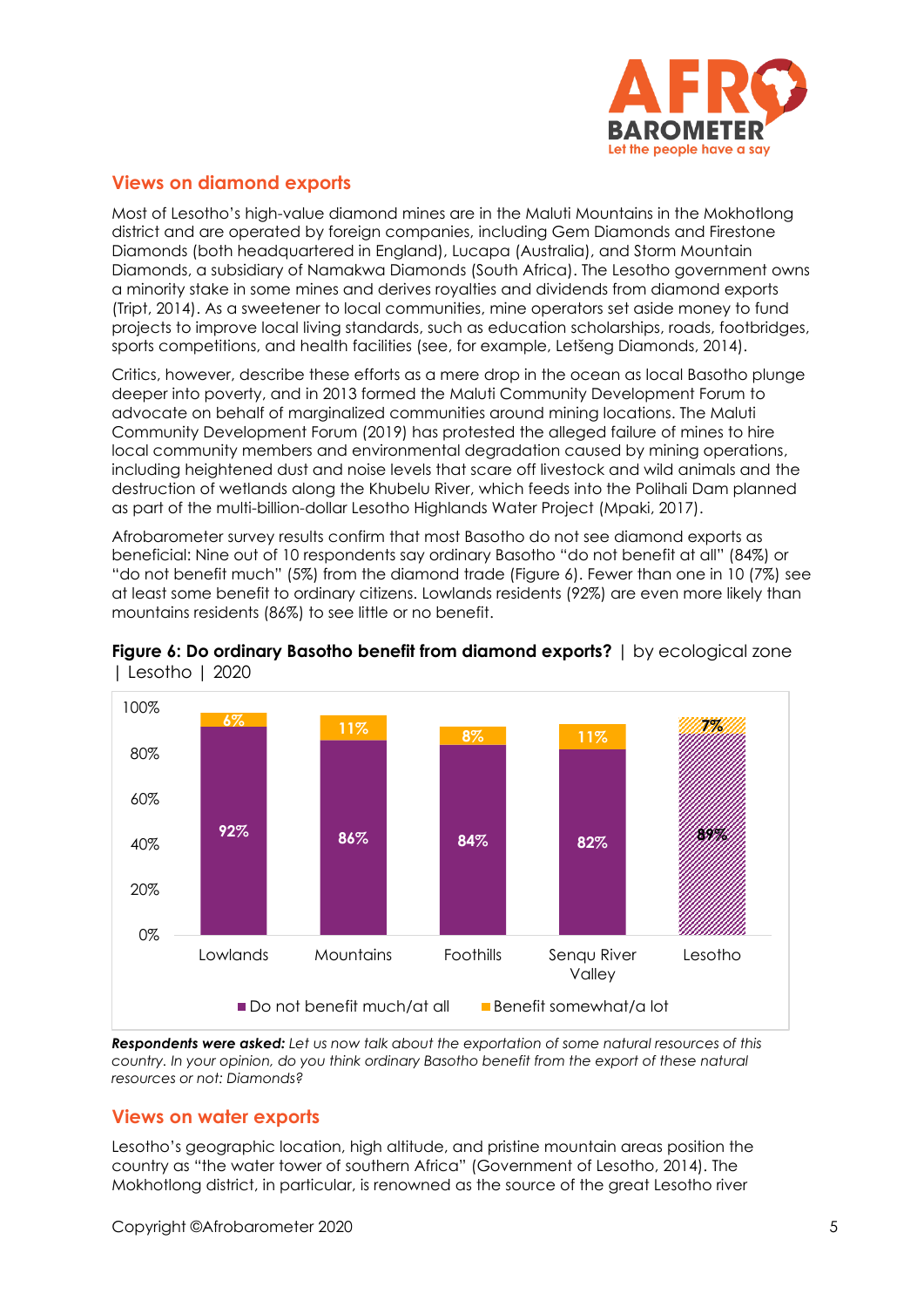

## **Views on diamond exports**

Most of Lesotho's high-value diamond mines are in the Maluti Mountains in the Mokhotlong district and are operated by foreign companies, including Gem Diamonds and Firestone Diamonds (both headquartered in England), Lucapa (Australia), and Storm Mountain Diamonds, a subsidiary of Namakwa Diamonds (South Africa). The Lesotho government owns a minority stake in some mines and derives royalties and dividends from diamond exports (Tript, 2014). As a sweetener to local communities, mine operators set aside money to fund projects to improve local living standards, such as education scholarships, roads, footbridges, sports competitions, and health facilities (see, for example, Letšeng Diamonds, 2014).

Critics, however, describe these efforts as a mere drop in the ocean as local Basotho plunge deeper into poverty, and in 2013 formed the Maluti Community Development Forum to advocate on behalf of marginalized communities around mining locations. The Maluti Community Development Forum (2019) has protested the alleged failure of mines to hire local community members and environmental degradation caused by mining operations, including heightened dust and noise levels that scare off livestock and wild animals and the destruction of wetlands along the Khubelu River, which feeds into the Polihali Dam planned as part of the multi-billion-dollar Lesotho Highlands Water Project (Mpaki, 2017).

Afrobarometer survey results confirm that most Basotho do not see diamond exports as beneficial: Nine out of 10 respondents say ordinary Basotho "do not benefit at all" (84%) or "do not benefit much" (5%) from the diamond trade (Figure 6). Fewer than one in 10 (7%) see at least some benefit to ordinary citizens. Lowlands residents (92%) are even more likely than mountains residents (86%) to see little or no benefit.





*Respondents were asked: Let us now talk about the exportation of some natural resources of this country. In your opinion, do you think ordinary Basotho benefit from the export of these natural resources or not: Diamonds?*

## **Views on water exports**

Lesotho's geographic location, high altitude, and pristine mountain areas position the country as "the water tower of southern Africa" (Government of Lesotho, 2014). The Mokhotlong district, in particular, is renowned as the source of the great Lesotho river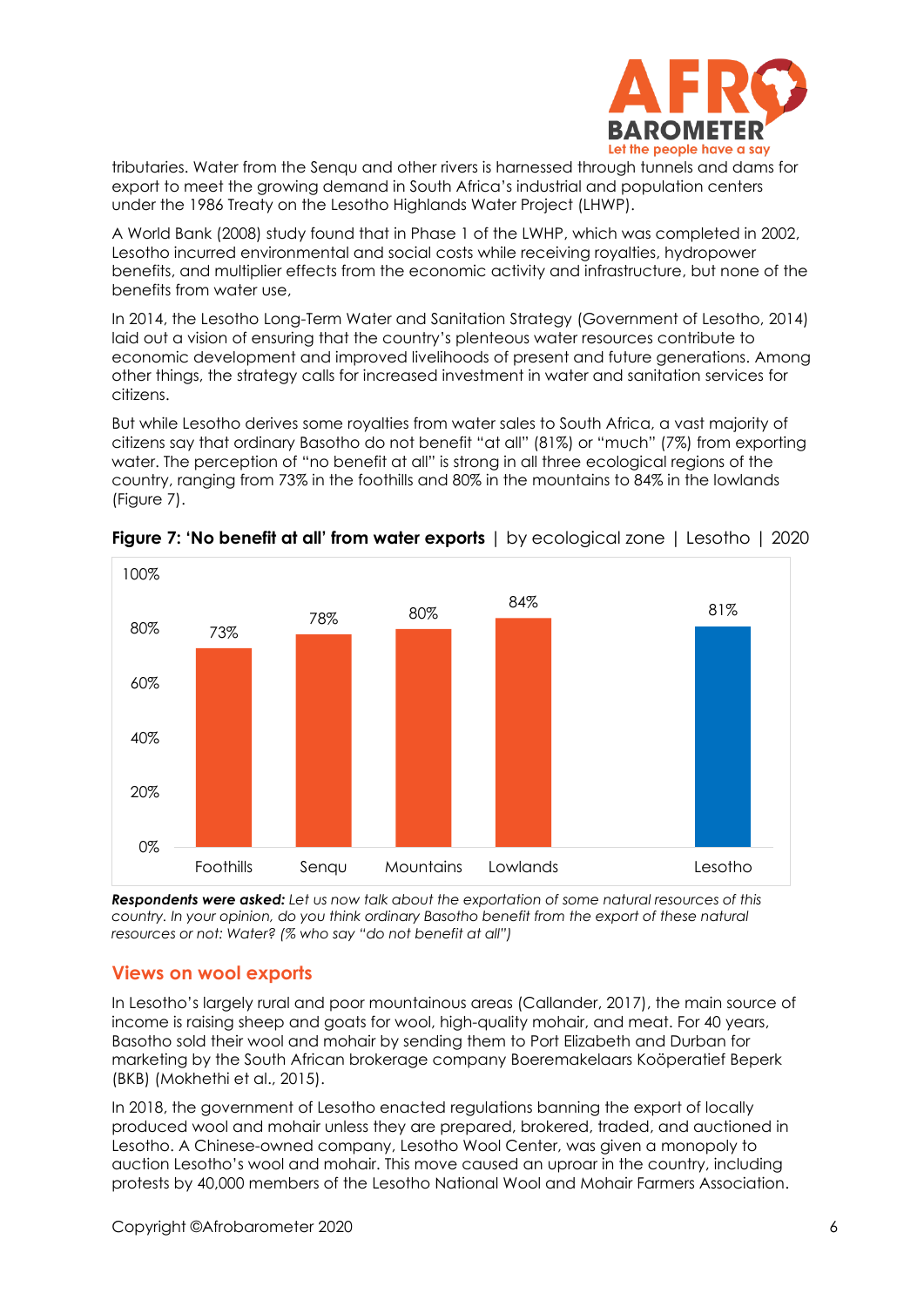

tributaries. Water from the Senqu and other rivers is harnessed through tunnels and dams for export to meet the growing demand in South Africa's industrial and population centers under the 1986 Treaty on the Lesotho Highlands Water Project (LHWP).

A World Bank (2008) study found that in Phase 1 of the LWHP, which was completed in 2002, Lesotho incurred environmental and social costs while receiving royalties, hydropower benefits, and multiplier effects from the economic activity and infrastructure, but none of the benefits from water use,

In 2014, the Lesotho Long-Term Water and Sanitation Strategy (Government of Lesotho, 2014) laid out a vision of ensuring that the country's plenteous water resources contribute to economic development and improved livelihoods of present and future generations. Among other things, the strategy calls for increased investment in water and sanitation services for citizens.

But while Lesotho derives some royalties from water sales to South Africa, a vast majority of citizens say that ordinary Basotho do not benefit "at all" (81%) or "much" (7%) from exporting water. The perception of "no benefit at all" is strong in all three ecological regions of the country, ranging from 73% in the foothills and 80% in the mountains to 84% in the lowlands (Figure 7).



**Figure 7: 'No benefit at all' from water exports** | by ecological zone | Lesotho | 2020

*Respondents were asked: Let us now talk about the exportation of some natural resources of this country. In your opinion, do you think ordinary Basotho benefit from the export of these natural resources or not: Water? (% who say "do not benefit at all")*

## **Views on wool exports**

In Lesotho's largely rural and poor mountainous areas (Callander, 2017), the main source of income is raising sheep and goats for wool, high-quality mohair, and meat. For 40 years, Basotho sold their wool and mohair by sending them to Port Elizabeth and Durban for marketing by the South African brokerage company Boeremakelaars Koöperatief Beperk (BKB) (Mokhethi et al., 2015).

In 2018, the government of Lesotho enacted regulations banning the export of locally produced wool and mohair unless they are prepared, brokered, traded, and auctioned in Lesotho. A Chinese-owned company, Lesotho Wool Center, was given a monopoly to auction Lesotho's wool and mohair. This move caused an uproar in the country, including protests by 40,000 members of the Lesotho National Wool and Mohair Farmers Association.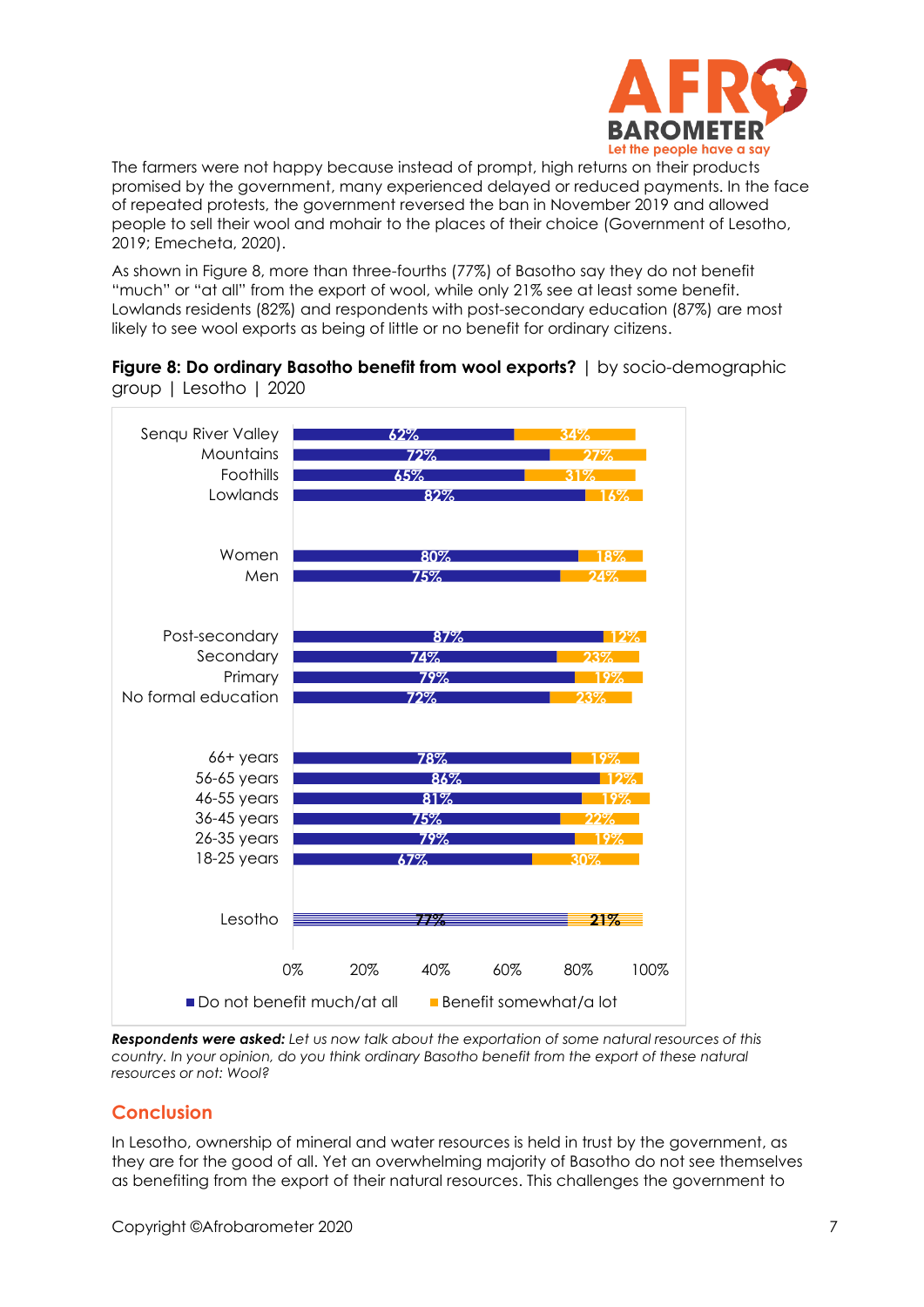

The farmers were not happy because instead of prompt, high returns on their products promised by the government, many experienced delayed or reduced payments. In the face of repeated protests, the government reversed the ban in November 2019 and allowed people to sell their wool and mohair to the places of their choice (Government of Lesotho, 2019; Emecheta, 2020).

As shown in Figure 8, more than three-fourths (77%) of Basotho say they do not benefit "much" or "at all" from the export of wool, while only 21% see at least some benefit. Lowlands residents (82%) and respondents with post-secondary education (87%) are most likely to see wool exports as being of little or no benefit for ordinary citizens.





*Respondents were asked: Let us now talk about the exportation of some natural resources of this country. In your opinion, do you think ordinary Basotho benefit from the export of these natural resources or not: Wool?*

# **Conclusion**

In Lesotho, ownership of mineral and water resources is held in trust by the government, as they are for the good of all. Yet an overwhelming majority of Basotho do not see themselves as benefiting from the export of their natural resources. This challenges the government to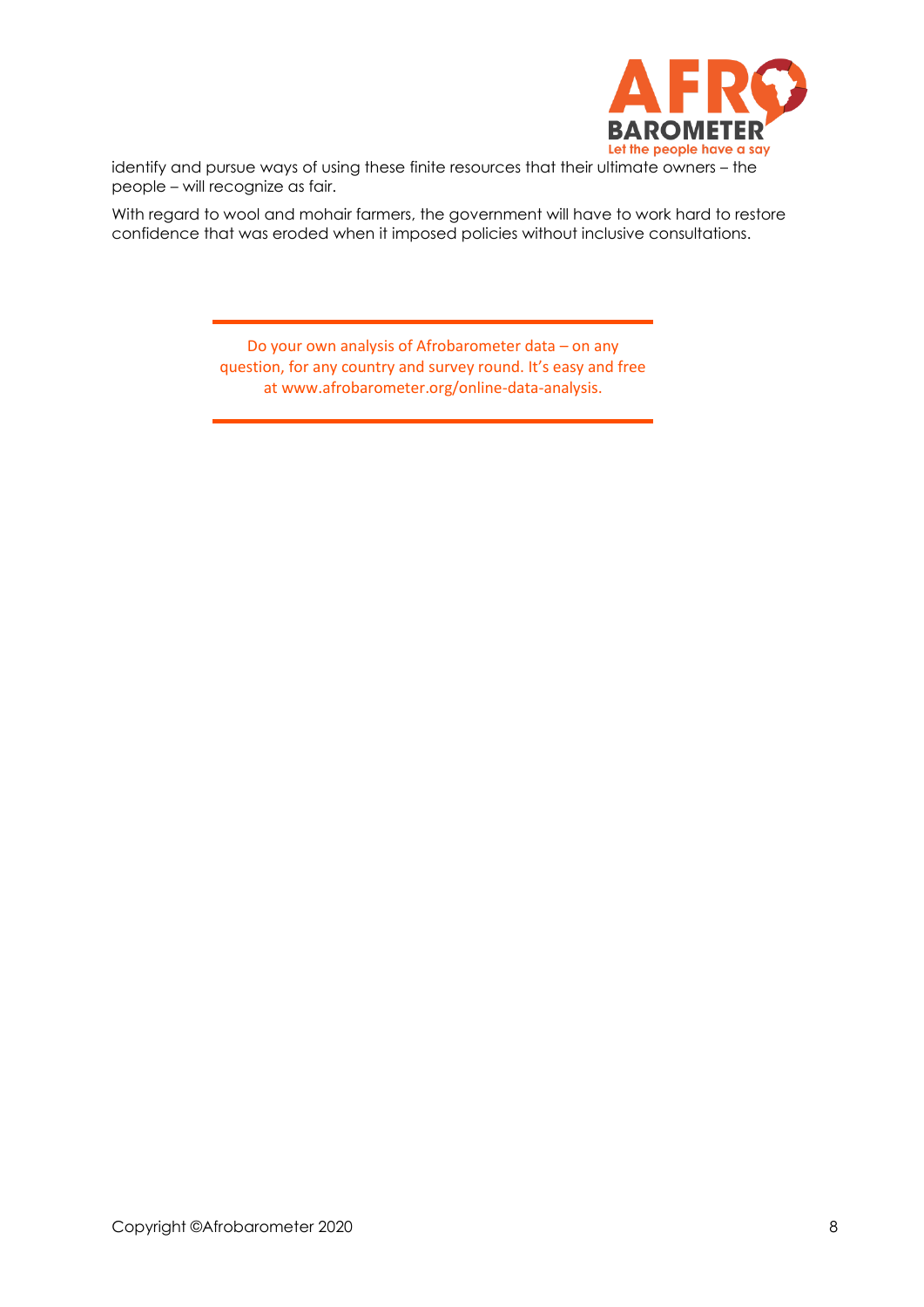

identify and pursue ways of using these finite resources that their ultimate owners – the people – will recognize as fair.

With regard to wool and mohair farmers, the government will have to work hard to restore confidence that was eroded when it imposed policies without inclusive consultations.

> Do your own analysis of Afrobarometer data – on any question, for any country and survey round. It's easy and free at www.afrobarometer.org/online-data-analysis.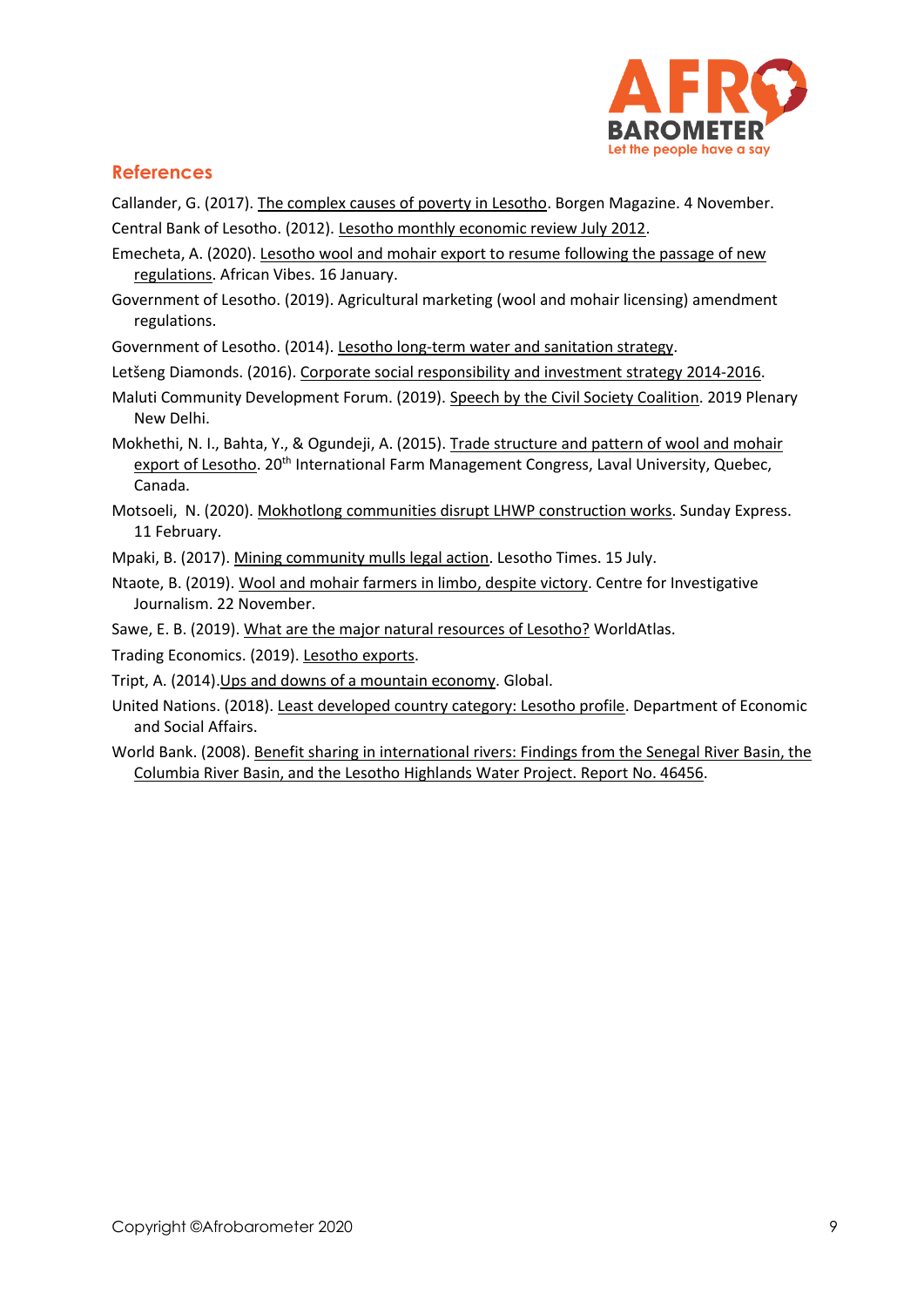

## **References**

Callander, G. (2017). [The complex causes of poverty in Lesotho.](https://www.borgenmagazine.com/complex-causes-of-poverty-in-lesotho/) Borgen Magazine. 4 November.

Central Bank of Lesotho. (2012). [Lesotho monthly economic review July 2012.](https://www.centralbank.org.ls/images/Publications/Research/Reports/MonthlyEconomicReviews/2012/July%202012%20ER%20-%20final.pdf)

- Emecheta, A. (2020)[. Lesotho wool and mohair export to resume following the passage of new](https://www.africanvibes.com/lesotho-wool-and-mohair-export-to-resume-following-the-passing-of-new-regulations-2/)  [regulations.](https://www.africanvibes.com/lesotho-wool-and-mohair-export-to-resume-following-the-passing-of-new-regulations-2/) African Vibes. 16 January.
- Government of Lesotho. (2019). Agricultural marketing (wool and mohair licensing) amendment regulations.

Government of Lesotho. (2014)[. Lesotho long-term water and sanitation strategy.](https://www.water.org.ls/download/lesotho-long-term-water-and-sanitation-strategy/)

Letšeng Diamonds. (2016). [Corporate social responsibility and investment strategy 2014-2016.](http://prototype.cbsdev.co.ls/letseng/wp-content/uploads/2019/06/LETSENG-DIAMONDS-CSRI-STRATEGY-2014-16.pdf)

Maluti Community Development Forum. (2019). [Speech by the Civil Society Coalition.](http://www.malutiforum.org.ls/page2.html) 2019 Plenary New Delhi.

Mokhethi, N. I., Bahta, Y., & Ogundeji, A. (2015). Trade [structure and pattern of wool and mohair](https://www.researchgate.net/publication/290430505_Trade_structure_and_pattern_of_wool_and_mohair_export_of_Lesotho)  [export of Lesotho.](https://www.researchgate.net/publication/290430505_Trade_structure_and_pattern_of_wool_and_mohair_export_of_Lesotho) 20<sup>th</sup> International Farm Management Congress, Laval University, Quebec, Canada.

Motsoeli, N. (2020). [Mokhotlong communities disrupt LHWP construction works.](https://sundayexpress.co.ls/mokhotlong-communities-disrupt-lhwp-construction-works/) Sunday Express. 11 February.

Mpaki, B. (2017)[. Mining community mulls legal action.](http://lestimes.com/mining-community-mulls-legal-action/) Lesotho Times. 15 July.

Ntaote, B. (2019)[. Wool and mohair farmers in limbo,](https://lescij.org/2019/11/22/wool-and-mohair-farmers-in-limbo-despite-victory/) despite victory. Centre for Investigative Journalism. 22 November.

Sawe, E. B. (2019). [What are the major natural resources of Lesotho?](https://www.worldatlas.com/articles/what-are-the-major-natural-resources-of-lesotho.html) WorldAtlas.

Trading Economics. (2019). [Lesotho exports.](https://tradingeconomics.com/lesotho/exports)

- Tript, A. (2014)[.Ups and downs of a mountain economy.](http://www.global-briefing.org/2015/11/ups-and-downs-of-a-mountain-economy/) Global.
- United Nations. (2018)[. Least developed country category: Lesotho profile.](https://www.un.org/development/desa/dpad/least-developed-country-category-lesotho.html) Department of Economic and Social Affairs.
- World Bank. (2008)[. Benefit sharing in international rivers: Findings from the Senegal River Basin, the](http://documents1.worldbank.org/curated/en/159191468193140438/pdf/464560NWP0P1121g0AFTWR0YU301PUBLIC1.pdf)  [Columbia River Basin, and the Lesotho Highlands Water Project. Report No. 46456.](http://documents1.worldbank.org/curated/en/159191468193140438/pdf/464560NWP0P1121g0AFTWR0YU301PUBLIC1.pdf)